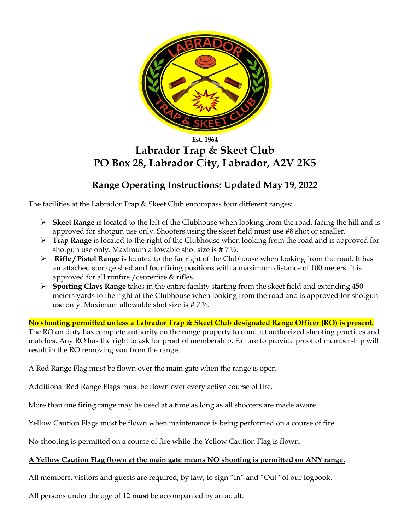

#### **Est. 1964**

# **Labrador Trap & Skeet Club PO Box 28, Labrador City, Labrador, A2V 2K5**

## **Range Operating Instructions: Updated May 19, 2022**

The facilities at the Labrador Trap & Skeet Club encompass four different ranges:

- ➢ **Skeet Range** is located to the left of the Clubhouse when looking from the road, facing the hill and is approved for shotgun use only. Shooters using the skeet field must use #8 shot or smaller.
- ➢ **Trap Range** is located to the right of the Clubhouse when looking from the road and is approved for shotgun use only. Maximum allowable shot size is # 7 ½.
- ➢ **Rifle / Pistol Range** is located to the far right of the Clubhouse when looking from the road. It has an attached storage shed and four firing positions with a maximum distance of 100 meters. It is approved for all rimfire /centerfire & rifles.
- ➢ **Sporting Clays Range** takes in the entire facility starting from the skeet field and extending 450 meters yards to the right of the Clubhouse when looking from the road and is approved for shotgun use only. Maximum allowable shot size is # 7 ½.

**No shooting permitted unless a Labrador Trap & Skeet Club designated Range Officer (RO) is present.** The RO on duty has complete authority on the range property to conduct authorized shooting practices and matches. Any RO has the right to ask for proof of membership. Failure to provide proof of membership will result in the RO removing you from the range.

A Red Range Flag must be flown over the main gate when the range is open.

Additional Red Range Flags must be flown over every active course of fire.

More than one firing range may be used at a time as long as all shooters are made aware.

Yellow Caution Flags must be flown when maintenance is being performed on a course of fire.

No shooting is permitted on a course of fire while the Yellow Caution Flag is flown.

### **A Yellow Caution Flag flown at the main gate means NO shooting is permitted on ANY range.**

All members, visitors and guests are required, by law, to sign "In" and "Out "of our logbook.

All persons under the age of 12 **must** be accompanied by an adult.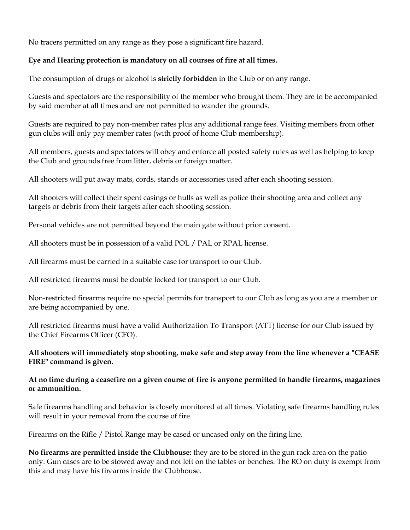No tracers permitted on any range as they pose a significant fire hazard.

### **Eye and Hearing protection is mandatory on all courses of fire at all times.**

The consumption of drugs or alcohol is **strictly forbidden** in the Club or on any range.

Guests and spectators are the responsibility of the member who brought them. They are to be accompanied by said member at all times and are not permitted to wander the grounds.

Guests are required to pay non-member rates plus any additional range fees. Visiting members from other gun clubs will only pay member rates (with proof of home Club membership).

All members, guests and spectators will obey and enforce all posted safety rules as well as helping to keep the Club and grounds free from litter, debris or foreign matter.

All shooters will put away mats, cords, stands or accessories used after each shooting session.

All shooters will collect their spent casings or hulls as well as police their shooting area and collect any targets or debris from their targets after each shooting session.

Personal vehicles are not permitted beyond the main gate without prior consent.

All shooters must be in possession of a valid POL / PAL or RPAL license.

All firearms must be carried in a suitable case for transport to our Club.

All restricted firearms must be double locked for transport to our Club.

Non-restricted firearms require no special permits for transport to our Club as long as you are a member or are being accompanied by one.

All restricted firearms must have a valid **A**uthorization **T**o **T**ransport (ATT) license for our Club issued by the Chief Firearms Officer (CFO).

#### **All shooters will immediately stop shooting, make safe and step away from the line whenever a "CEASE FIRE" command is given.**

#### **At no time during a ceasefire on a given course of fire is anyone permitted to handle firearms, magazines or ammunition.**

Safe firearms handling and behavior is closely monitored at all times. Violating safe firearms handling rules will result in your removal from the course of fire.

Firearms on the Rifle / Pistol Range may be cased or uncased only on the firing line.

**No firearms are permitted inside the Clubhouse:** they are to be stored in the gun rack area on the patio only. Gun cases are to be stowed away and not left on the tables or benches. The RO on duty is exempt from this and may have his firearms inside the Clubhouse.